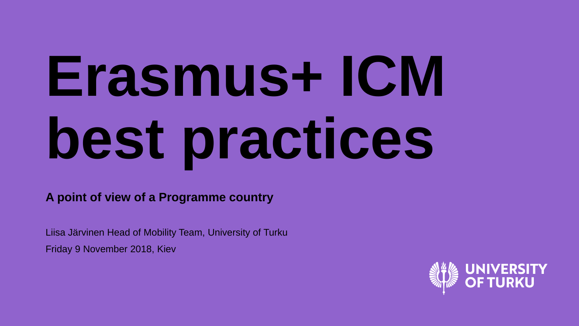# **Erasmus+ ICM best practices**

**A point of view of a Programme country**

Liisa Järvinen Head of Mobility Team, University of Turku Friday 9 November 2018, Kiev

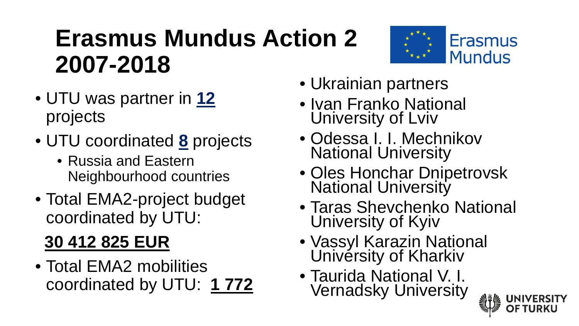## **Erasmus Mundus Action 2 2007-2018**

- UTU was partner in **12** projects
- UTU coordinated **8** projects
	- Russia and Eastern Neighbourhood countries
- Total EMA2-project budget coordinated by UTU:

#### **30 412 825 EUR**

• Total EMA2 mobilities coordinated by UTU: **1 772**

- Ukrainian partners
- Ivan Franko National University of Lviv
- Odessa I. I. Mechnikov National University
- Oles Honchar Dnipetrovsk<br>National University
- Taras Shevchenko National University of Kyiv
- Vassyl Karazin National Univérsity of Kharkiv
- Taurida National V. I. Vernadsky University



**Erasmus** 

**Mundus**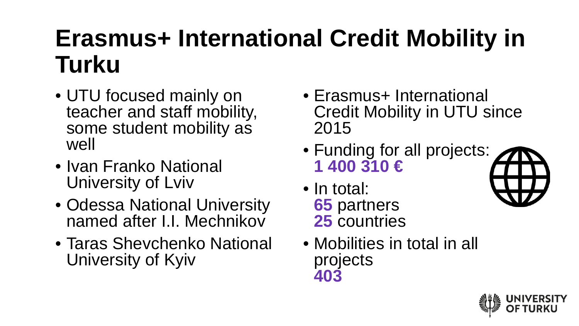# **Erasmus+ International Credit Mobility in Turku**

- UTU focused mainly on teacher and staff mobility, some student mobility as well
- Ivan Franko National University of Lviv
- Odessa National University named after I.I. Mechnikov
- Taras Shevchenko National University of Kyiv
- Erasmus+ International Credit Mobility in UTU since 2015
- Funding for all projects: **1 400 310 €**
- In total: **65** partners **25** countries
- Mobilities in total in all projects **403**



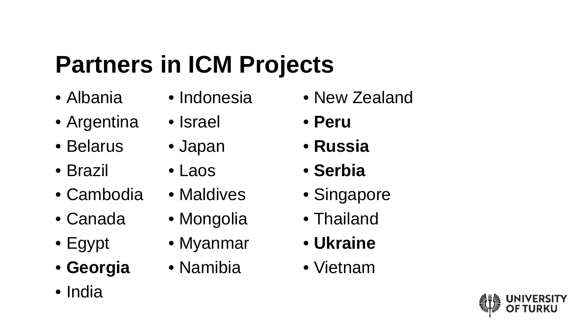# **Partners in ICM Projects**

- Albania
- Argentina
- Belarus
- Brazil
- Cambodia
- Canada
- Egypt
- **Georgia**
- India
- Indonesia
- Israel
	- Japan
- Laos
- Maldives
- Mongolia
- Myanmar
- Namibia
- New Zealand
- **Peru**
- **Russia**
- **Serbia**
- Singapore
- Thailand
- **Ukraine**
- Vietnam

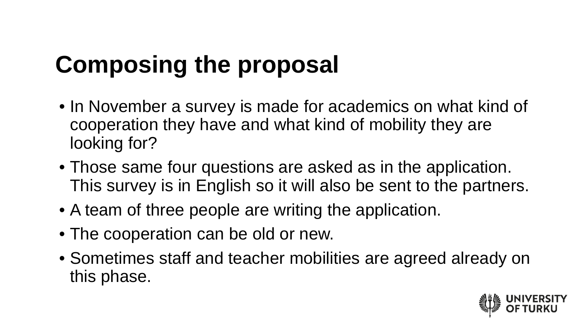# **Composing the proposal**

- In November a survey is made for academics on what kind of cooperation they have and what kind of mobility they are looking for?
- Those same four questions are asked as in the application. This survey is in English so it will also be sent to the partners.
- A team of three people are writing the application.
- The cooperation can be old or new.
- Sometimes staff and teacher mobilities are agreed already on this phase.

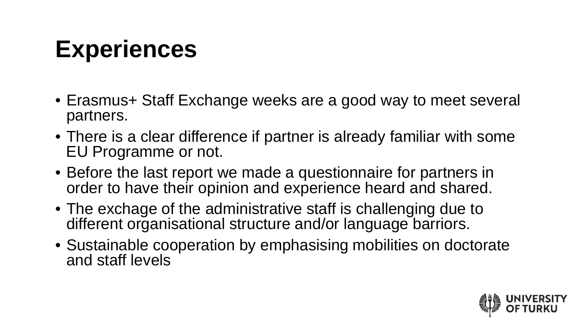## **Experiences**

- Erasmus+ Staff Exchange weeks are a good way to meet several partners.
- There is a clear difference if partner is already familiar with some EU Programme or not.
- Before the last report we made a questionnaire for partners in order to have their opinion and experience heard and shared.
- The exchage of the administrative staff is challenging due to different organisational structure and/or language barriors.
- Sustainable cooperation by emphasising mobilities on doctorate and staff levels

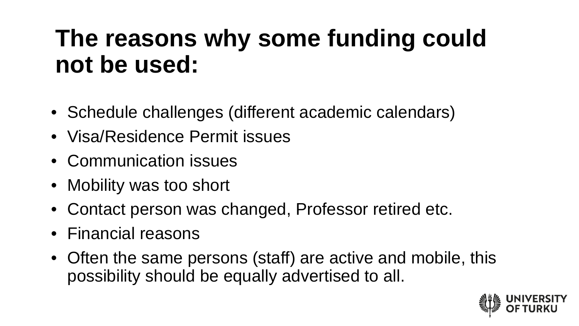#### **The reasons why some funding could not be used:**

- Schedule challenges (different academic calendars)
- Visa/Residence Permit issues
- Communication issues
- Mobility was too short
- Contact person was changed, Professor retired etc.
- Financial reasons
- Often the same persons (staff) are active and mobile, this possibility should be equally advertised to all.

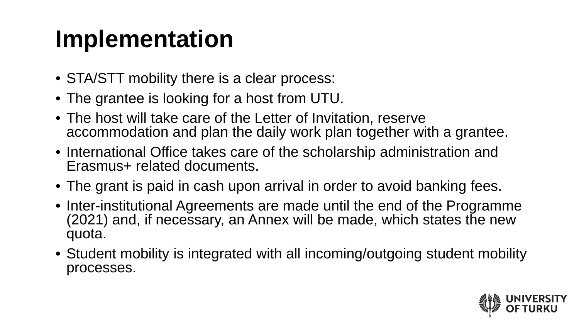# **Implementation**

- STA/STT mobility there is a clear process:
- The grantee is looking for a host from UTU.
- The host will take care of the Letter of Invitation, reserve accommodation and plan the daily work plan together with a grantee.
- International Office takes care of the scholarship administration and Erasmus+ related documents.
- The grant is paid in cash upon arrival in order to avoid banking fees.
- Inter-institutional Agreements are made until the end of the Programme (2021) and, if necessary, an Annex will be made, which states the new quota.
- Student mobility is integrated with all incoming/outgoing student mobility processes.